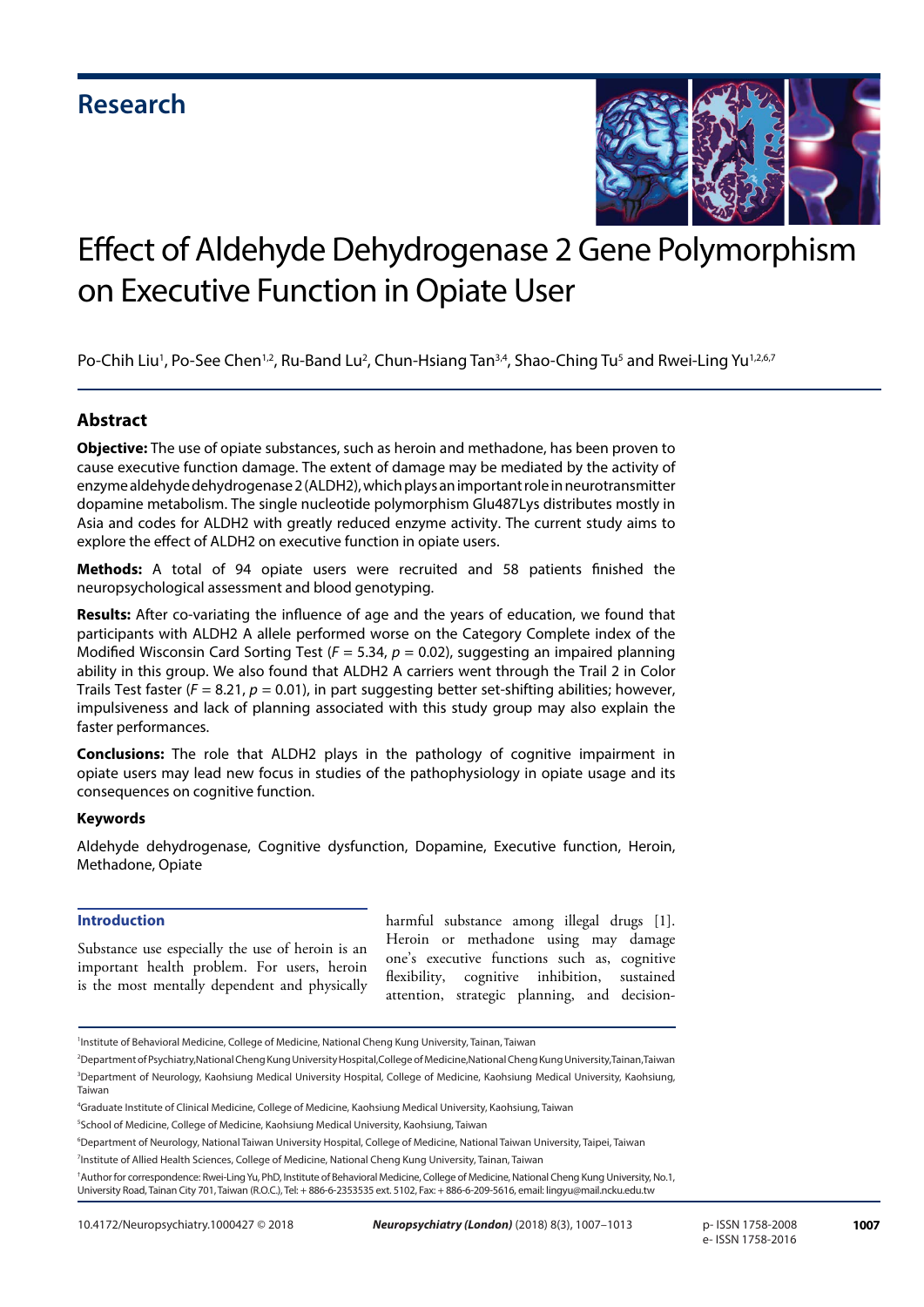

# Effect of Aldehyde Dehydrogenase 2 Gene Polymorphism on Executive Function in Opiate User

Po-Chih Liu<sup>1</sup>, Po-See Chen<sup>1,2</sup>, Ru-Band Lu<sup>2</sup>, Chun-Hsiang Tan<sup>3,4</sup>, Shao-Ching Tu<sup>5</sup> and Rwei-Ling Yu<sup>1,2,6,7</sup>

### **Abstract**

**Objective:** The use of opiate substances, such as heroin and methadone, has been proven to cause executive function damage. The extent of damage may be mediated by the activity of enzyme aldehyde dehydrogenase 2 (ALDH2), which plays an important role in neurotransmitter dopamine metabolism. The single nucleotide polymorphism Glu487Lys distributes mostly in Asia and codes for ALDH2 with greatly reduced enzyme activity. The current study aims to explore the effect of ALDH2 on executive function in opiate users.

**Methods:** A total of 94 opiate users were recruited and 58 patients finished the neuropsychological assessment and blood genotyping.

**Results:** After co-variating the influence of age and the years of education, we found that participants with ALDH2 A allele performed worse on the Category Complete index of the Modified Wisconsin Card Sorting Test (*F* = 5.34, *p* = 0.02), suggesting an impaired planning ability in this group. We also found that ALDH2 A carriers went through the Trail 2 in Color Trails Test faster ( $F = 8.21$ ,  $p = 0.01$ ), in part suggesting better set-shifting abilities; however, impulsiveness and lack of planning associated with this study group may also explain the faster performances.

**Conclusions:** The role that ALDH2 plays in the pathology of cognitive impairment in opiate users may lead new focus in studies of the pathophysiology in opiate usage and its consequences on cognitive function.

#### **Keywords**

Aldehyde dehydrogenase, Cognitive dysfunction, Dopamine, Executive function, Heroin, Methadone, Opiate

#### **Introduction**

Substance use especially the use of heroin is an important health problem. For users, heroin is the most mentally dependent and physically

harmful substance among illegal drugs [1]. Heroin or methadone using may damage one's executive functions such as, cognitive flexibility, cognitive inhibition, attention, strategic planning, and decision-

2 Department of Psychiatry,National Cheng Kung University Hospital,College of Medicine,National Cheng Kung University,Tainan,Taiwan 3 Department of Neurology, Kaohsiung Medical University Hospital, College of Medicine, Kaohsiung Medical University, Kaohsiung, Taiwan

<sup>1</sup> Institute of Behavioral Medicine, College of Medicine, National Cheng Kung University, Tainan, Taiwan

<sup>4</sup> Graduate Institute of Clinical Medicine, College of Medicine, Kaohsiung Medical University, Kaohsiung, Taiwan

<sup>5</sup> School of Medicine, College of Medicine, Kaohsiung Medical University, Kaohsiung, Taiwan

<sup>6</sup> Department of Neurology, National Taiwan University Hospital, College of Medicine, National Taiwan University, Taipei, Taiwan

<sup>7</sup> Institute of Allied Health Sciences, College of Medicine, National Cheng Kung University, Tainan, Taiwan

<sup>†</sup> Author for correspondence: Rwei-Ling Yu, PhD, Institute of Behavioral Medicine, College of Medicine, National Cheng Kung University, No.1, University Road, Tainan City 701, Taiwan (R.O.C.), Tel: + 886-6-2353535 ext. 5102, Fax: + 886-6-209-5616, email: lingyu@mail.ncku.edu.tw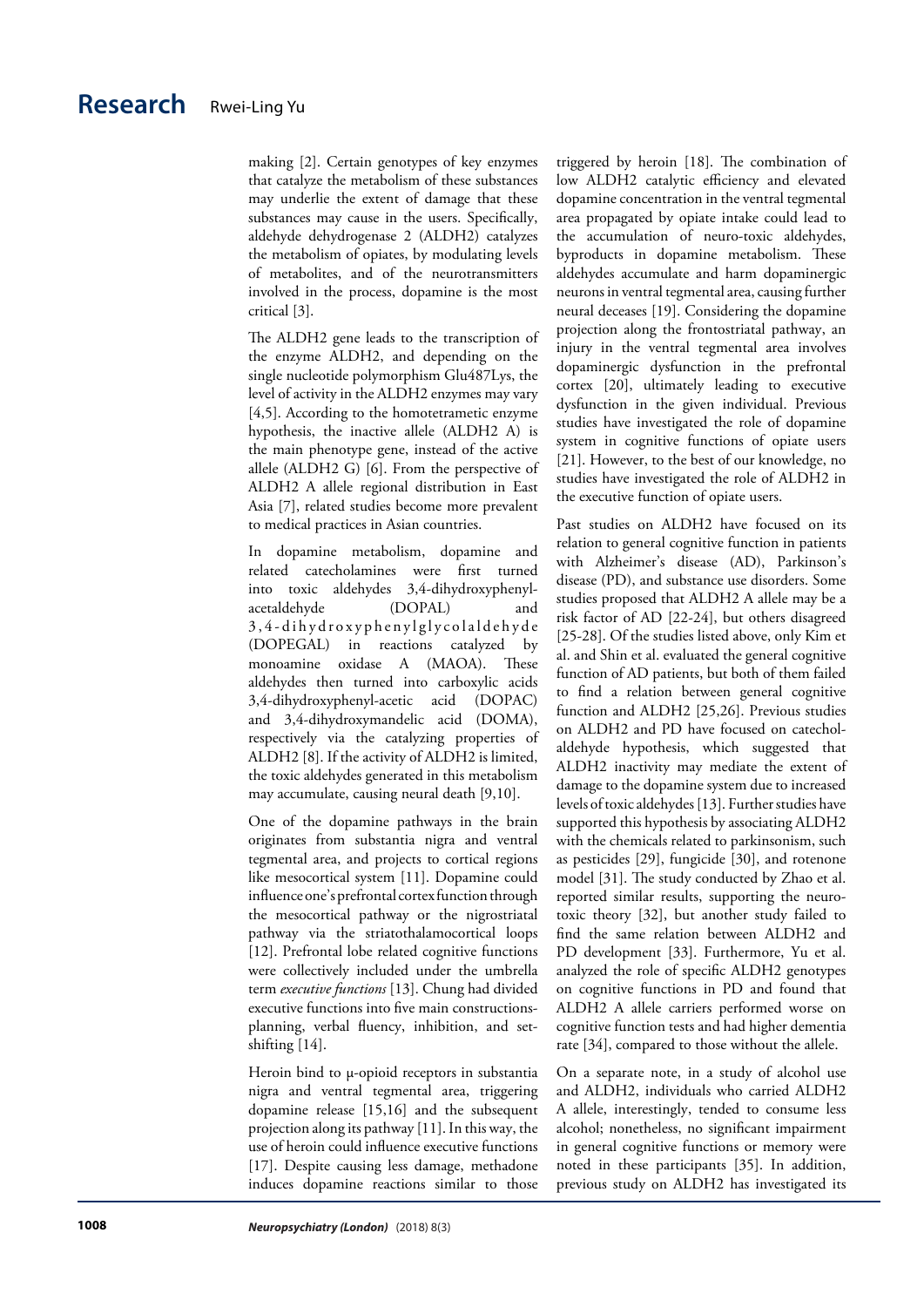making [2]. Certain genotypes of key enzymes that catalyze the metabolism of these substances may underlie the extent of damage that these substances may cause in the users. Specifically, aldehyde dehydrogenase 2 (ALDH2) catalyzes the metabolism of opiates, by modulating levels of metabolites, and of the neurotransmitters involved in the process, dopamine is the most critical [3].

The ALDH2 gene leads to the transcription of the enzyme ALDH2, and depending on the single nucleotide polymorphism Glu487Lys, the level of activity in the ALDH2 enzymes may vary [4,5]. According to the homotetrametic enzyme hypothesis, the inactive allele (ALDH2 A) is the main phenotype gene, instead of the active allele (ALDH2 G) [6]. From the perspective of ALDH2 A allele regional distribution in East Asia [7], related studies become more prevalent to medical practices in Asian countries.

In dopamine metabolism, dopamine and related catecholamines were first turned into toxic aldehydes 3,4-dihydroxyphenylacetaldehyde (DOPAL) and 3 , 4 - d i h y d r o x y p h e n y l g l y c o l a l d e h y d e (DOPEGAL) in reactions catalyzed by monoamine oxidase A (MAOA). These aldehydes then turned into carboxylic acids 3,4-dihydroxyphenyl-acetic acid (DOPAC) and 3,4-dihydroxymandelic acid (DOMA), respectively via the catalyzing properties of ALDH2 [8]. If the activity of ALDH2 is limited, the toxic aldehydes generated in this metabolism may accumulate, causing neural death [9,10].

One of the dopamine pathways in the brain originates from substantia nigra and ventral tegmental area, and projects to cortical regions like mesocortical system [11]. Dopamine could influence one's prefrontal cortex function through the mesocortical pathway or the nigrostriatal pathway via the striatothalamocortical loops [12]. Prefrontal lobe related cognitive functions were collectively included under the umbrella term *executive functions* [13]. Chung had divided executive functions into five main constructionsplanning, verbal fluency, inhibition, and setshifting [14].

Heroin bind to μ-opioid receptors in substantia nigra and ventral tegmental area, triggering dopamine release [15,16] and the subsequent projection along its pathway [11]. In this way, the use of heroin could influence executive functions [17]. Despite causing less damage, methadone induces dopamine reactions similar to those triggered by heroin [18]. The combination of low ALDH2 catalytic efficiency and elevated dopamine concentration in the ventral tegmental area propagated by opiate intake could lead to the accumulation of neuro-toxic aldehydes, byproducts in dopamine metabolism. These aldehydes accumulate and harm dopaminergic neurons in ventral tegmental area, causing further neural deceases [19]. Considering the dopamine projection along the frontostriatal pathway, an injury in the ventral tegmental area involves dopaminergic dysfunction in the prefrontal cortex [20], ultimately leading to executive dysfunction in the given individual. Previous studies have investigated the role of dopamine system in cognitive functions of opiate users [21]. However, to the best of our knowledge, no studies have investigated the role of ALDH2 in the executive function of opiate users.

Past studies on ALDH2 have focused on its relation to general cognitive function in patients with Alzheimer's disease (AD), Parkinson's disease (PD), and substance use disorders. Some studies proposed that ALDH2 A allele may be a risk factor of AD [22-24], but others disagreed [25-28]. Of the studies listed above, only Kim et al. and Shin et al. evaluated the general cognitive function of AD patients, but both of them failed to find a relation between general cognitive function and ALDH2 [25,26]. Previous studies on ALDH2 and PD have focused on catecholaldehyde hypothesis, which suggested that ALDH2 inactivity may mediate the extent of damage to the dopamine system due to increased levels of toxic aldehydes [13]. Further studies have supported this hypothesis by associating ALDH2 with the chemicals related to parkinsonism, such as pesticides [29], fungicide [30], and rotenone model [31]. The study conducted by Zhao et al. reported similar results, supporting the neurotoxic theory [32], but another study failed to find the same relation between ALDH2 and PD development [33]. Furthermore, Yu et al. analyzed the role of specific ALDH2 genotypes on cognitive functions in PD and found that ALDH2 A allele carriers performed worse on cognitive function tests and had higher dementia rate [34], compared to those without the allele.

On a separate note, in a study of alcohol use and ALDH2, individuals who carried ALDH2 A allele, interestingly, tended to consume less alcohol; nonetheless, no significant impairment in general cognitive functions or memory were noted in these participants [35]. In addition, previous study on ALDH2 has investigated its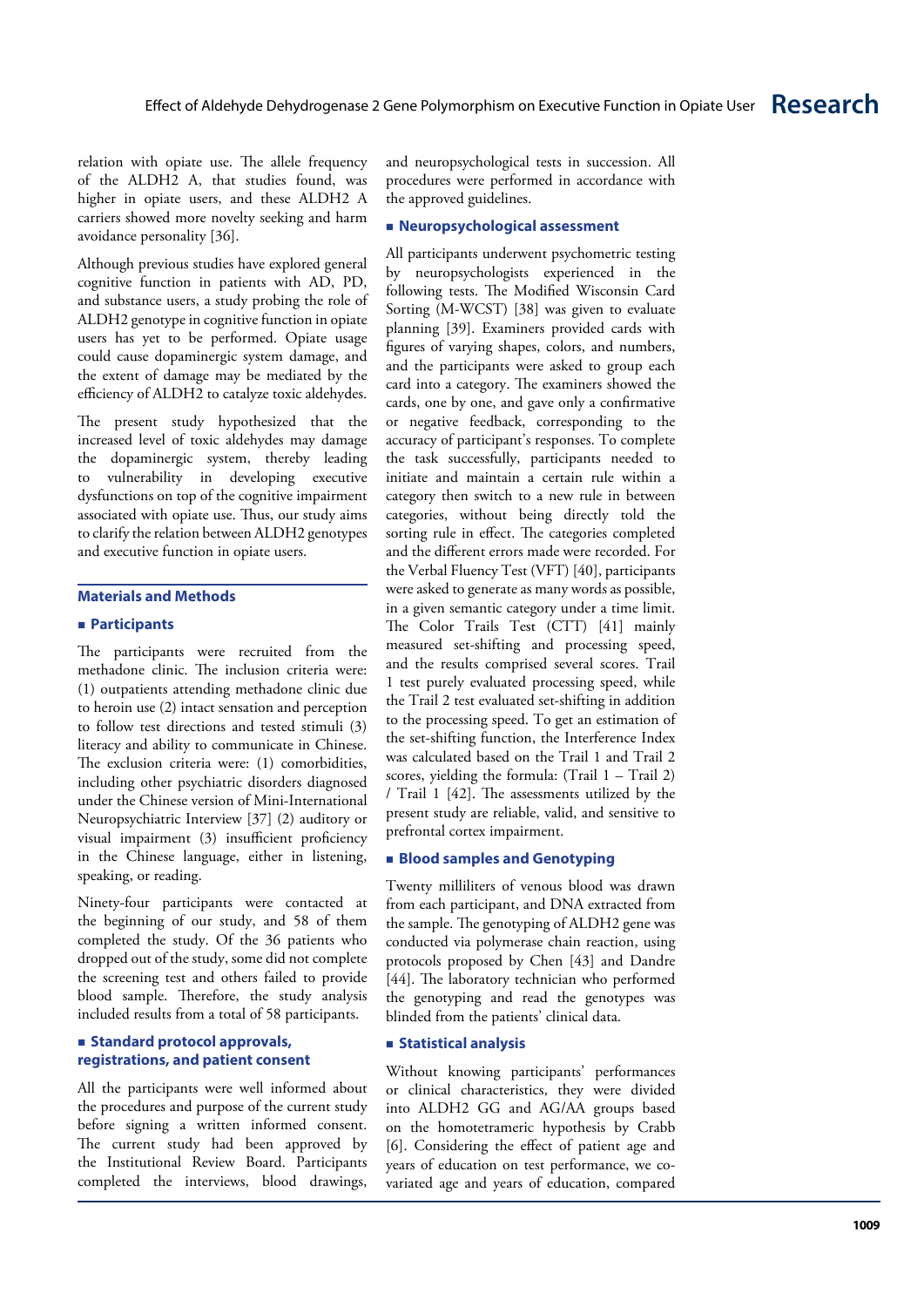relation with opiate use. The allele frequency of the ALDH2 A, that studies found, was higher in opiate users, and these ALDH2 A carriers showed more novelty seeking and harm avoidance personality [36].

Although previous studies have explored general cognitive function in patients with AD, PD, and substance users, a study probing the role of ALDH2 genotype in cognitive function in opiate users has yet to be performed. Opiate usage could cause dopaminergic system damage, and the extent of damage may be mediated by the efficiency of ALDH2 to catalyze toxic aldehydes.

The present study hypothesized that the increased level of toxic aldehydes may damage the dopaminergic system, thereby leading to vulnerability in developing executive dysfunctions on top of the cognitive impairment associated with opiate use. Thus, our study aims to clarify the relation between ALDH2 genotypes and executive function in opiate users.

#### **Materials and Methods**

#### **Participants**

The participants were recruited from the methadone clinic. The inclusion criteria were: (1) outpatients attending methadone clinic due to heroin use (2) intact sensation and perception to follow test directions and tested stimuli (3) literacy and ability to communicate in Chinese. The exclusion criteria were: (1) comorbidities, including other psychiatric disorders diagnosed under the Chinese version of Mini-International Neuropsychiatric Interview [37] (2) auditory or visual impairment (3) insufficient proficiency in the Chinese language, either in listening, speaking, or reading.

Ninety-four participants were contacted at the beginning of our study, and 58 of them completed the study. Of the 36 patients who dropped out of the study, some did not complete the screening test and others failed to provide blood sample. Therefore, the study analysis included results from a total of 58 participants.

#### **Standard protocol approvals, registrations, and patient consent**

All the participants were well informed about the procedures and purpose of the current study before signing a written informed consent. The current study had been approved by the Institutional Review Board. Participants completed the interviews, blood drawings, and neuropsychological tests in succession. All procedures were performed in accordance with the approved guidelines.

#### **Neuropsychological assessment**

All participants underwent psychometric testing by neuropsychologists experienced in the following tests. The Modified Wisconsin Card Sorting (M-WCST) [38] was given to evaluate planning [39]. Examiners provided cards with figures of varying shapes, colors, and numbers, and the participants were asked to group each card into a category. The examiners showed the cards, one by one, and gave only a confirmative or negative feedback, corresponding to the accuracy of participant's responses. To complete the task successfully, participants needed to initiate and maintain a certain rule within a category then switch to a new rule in between categories, without being directly told the sorting rule in effect. The categories completed and the different errors made were recorded. For the Verbal Fluency Test (VFT) [40], participants were asked to generate as many words as possible, in a given semantic category under a time limit. The Color Trails Test (CTT) [41] mainly measured set-shifting and processing speed, and the results comprised several scores. Trail 1 test purely evaluated processing speed, while the Trail 2 test evaluated set-shifting in addition to the processing speed. To get an estimation of the set-shifting function, the Interference Index was calculated based on the Trail 1 and Trail 2 scores, yielding the formula:  $(Trail 1 - Trail 2)$ / Trail 1 [42]. The assessments utilized by the present study are reliable, valid, and sensitive to prefrontal cortex impairment.

#### **Blood samples and Genotyping**

Twenty milliliters of venous blood was drawn from each participant, and DNA extracted from the sample. The genotyping of ALDH2 gene was conducted via polymerase chain reaction, using protocols proposed by Chen [43] and Dandre [44]. The laboratory technician who performed the genotyping and read the genotypes was blinded from the patients' clinical data.

#### **Statistical analysis**

Without knowing participants' performances or clinical characteristics, they were divided into ALDH2 GG and AG/AA groups based on the homotetrameric hypothesis by Crabb [6]. Considering the effect of patient age and years of education on test performance, we covariated age and years of education, compared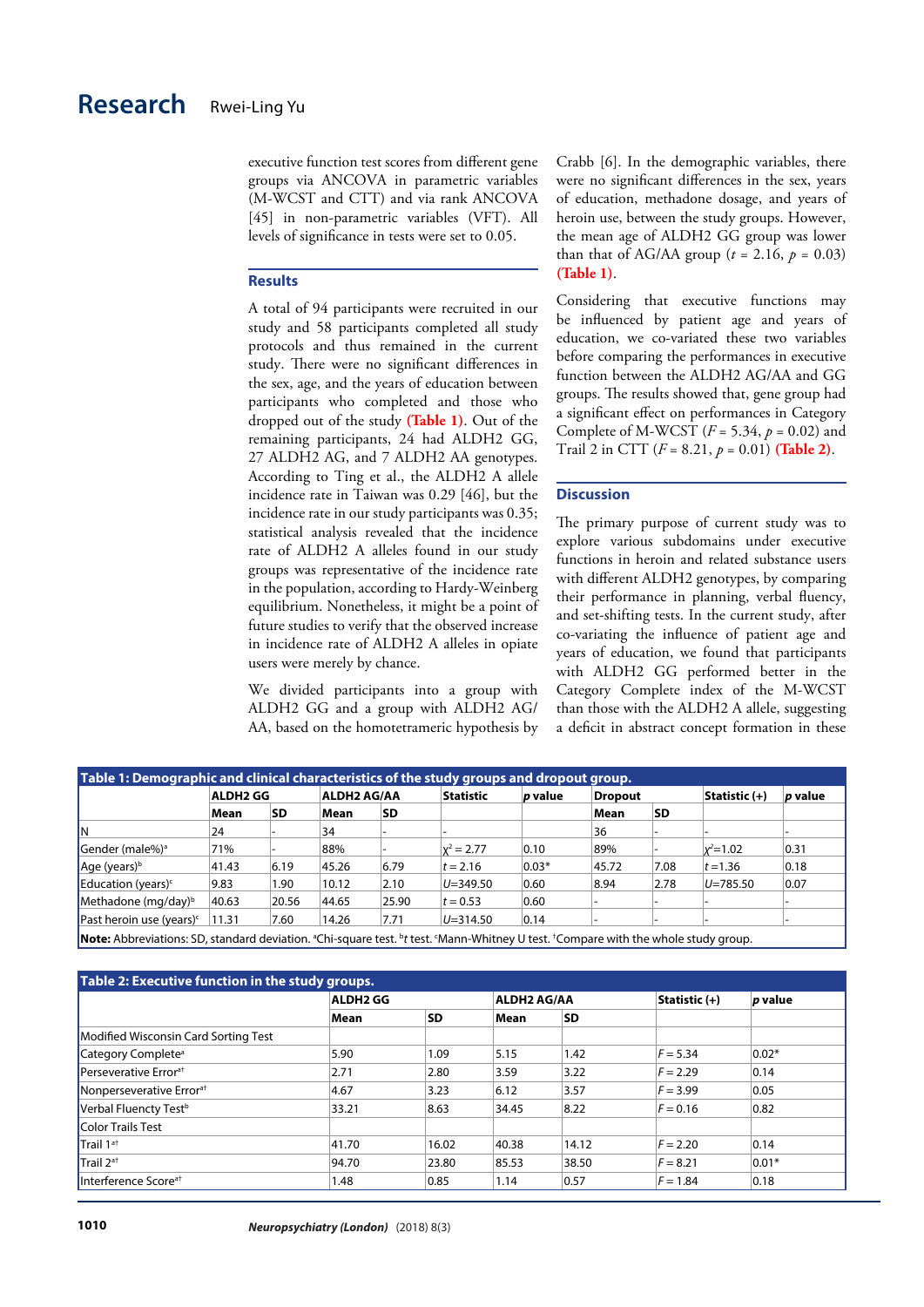executive function test scores from different gene groups via ANCOVA in parametric variables (M-WCST and CTT) and via rank ANCOVA [45] in non-parametric variables (VFT). All levels of significance in tests were set to 0.05.

#### **Results**

A total of 94 participants were recruited in our study and 58 participants completed all study protocols and thus remained in the current study. There were no significant differences in the sex, age, and the years of education between participants who completed and those who dropped out of the study **(Table 1)**. Out of the remaining participants, 24 had ALDH2 GG, 27 ALDH2 AG, and 7 ALDH2 AA genotypes. According to Ting et al., the ALDH2 A allele incidence rate in Taiwan was 0.29 [46], but the incidence rate in our study participants was 0.35; statistical analysis revealed that the incidence rate of ALDH2 A alleles found in our study groups was representative of the incidence rate in the population, according to Hardy-Weinberg equilibrium. Nonetheless, it might be a point of future studies to verify that the observed increase in incidence rate of ALDH2 A alleles in opiate users were merely by chance.

We divided participants into a group with ALDH2 GG and a group with ALDH2 AG/ AA, based on the homotetrameric hypothesis by Crabb [6]. In the demographic variables, there were no significant differences in the sex, years of education, methadone dosage, and years of heroin use, between the study groups. However, the mean age of ALDH2 GG group was lower than that of AG/AA group ( $t = 2.16$ ,  $p = 0.03$ ) **(Table 1)**.

Considering that executive functions may be influenced by patient age and years of education, we co-variated these two variables before comparing the performances in executive function between the ALDH2 AG/AA and GG groups. The results showed that, gene group had a significant effect on performances in Category Complete of M-WCST (*F* = 5.34, *p* = 0.02) and Trail 2 in CTT (*F* = 8.21, *p* = 0.01) **(Table 2)**.

#### **Discussion**

The primary purpose of current study was to explore various subdomains under executive functions in heroin and related substance users with different ALDH2 genotypes, by comparing their performance in planning, verbal fluency, and set-shifting tests. In the current study, after co-variating the influence of patient age and years of education, we found that participants with ALDH2 GG performed better in the Category Complete index of the M-WCST than those with the ALDH2 A allele, suggesting a deficit in abstract concept formation in these

|                                      | <b>ALDH2 GG</b> |           | <b>ALDH2 AG/AA</b> |           | <b>Statistic</b> | p value | <b>Dropout</b> |           | Statistic (+) | p value |
|--------------------------------------|-----------------|-----------|--------------------|-----------|------------------|---------|----------------|-----------|---------------|---------|
|                                      | Mean            | <b>SD</b> | Mean               | <b>SD</b> |                  |         | Mean           | <b>SD</b> |               |         |
| lΝ                                   | 24              |           | 34                 |           |                  |         | 36             |           |               |         |
| Gender (male%) <sup>a</sup>          | 71%             |           | 88%                |           | $x^2 = 2.77$     | 0.10    | 89%            |           | $x^2 = 1.02$  | 0.31    |
| Age (years) <sup>b</sup>             | 41.43           | 6.19      | 45.26              | 6.79      | $t = 2.16$       | $0.03*$ | 45.72          | 7.08      | $t = 1.36$    | 0.18    |
| Education (years) <sup>c</sup>       | 9.83            | 1.90      | 10.12              | 2.10      | $U = 349.50$     | 0.60    | 8.94           | 2.78      | $U = 785.50$  | 0.07    |
| Methadone (mg/day) <sup>b</sup>      | 40.63           | 20.56     | 44.65              | 25.90     | $t = 0.53$       | 0.60    |                |           |               |         |
| Past heroin use (years) <sup>c</sup> | 11.31           | 7.60      | 14.26              | 7.71      | $U = 314.50$     | 0.14    |                |           |               |         |

| Table 2: Executive function in the study groups. |                 |           |                    |       |               |                |  |  |  |
|--------------------------------------------------|-----------------|-----------|--------------------|-------|---------------|----------------|--|--|--|
|                                                  | <b>ALDH2 GG</b> |           | <b>ALDH2 AG/AA</b> |       | Statistic (+) | <i>p</i> value |  |  |  |
|                                                  | Mean            | <b>SD</b> | Mean               | SD    |               |                |  |  |  |
| Modified Wisconsin Card Sorting Test             |                 |           |                    |       |               |                |  |  |  |
| Category Complete <sup>a</sup>                   | 5.90            | 1.09      | 5.15               | 1.42  | $F = 5.34$    | $0.02*$        |  |  |  |
| Perseverative Error <sup>at</sup>                | 2.71            | 2.80      | 3.59               | 3.22  | $F = 2.29$    | 0.14           |  |  |  |
| Nonperseverative Error <sup>at</sup>             | 4.67            | 3.23      | 6.12               | 3.57  | $F = 3.99$    | 0.05           |  |  |  |
| Verbal Fluencty Test <sup>b</sup>                | 33.21           | 8.63      | 34.45              | 8.22  | $F = 0.16$    | 0.82           |  |  |  |
| <b>Color Trails Test</b>                         |                 |           |                    |       |               |                |  |  |  |
| Trail 1 <sup>at</sup>                            | 41.70           | 16.02     | 40.38              | 14.12 | $F = 2.20$    | 0.14           |  |  |  |
| Trail 2 <sup>at</sup>                            | 94.70           | 23.80     | 85.53              | 38.50 | $F = 8.21$    | $0.01*$        |  |  |  |
| Interference Score <sup>at</sup>                 | 1.48            | 0.85      | 1.14               | 0.57  | $F = 1.84$    | 0.18           |  |  |  |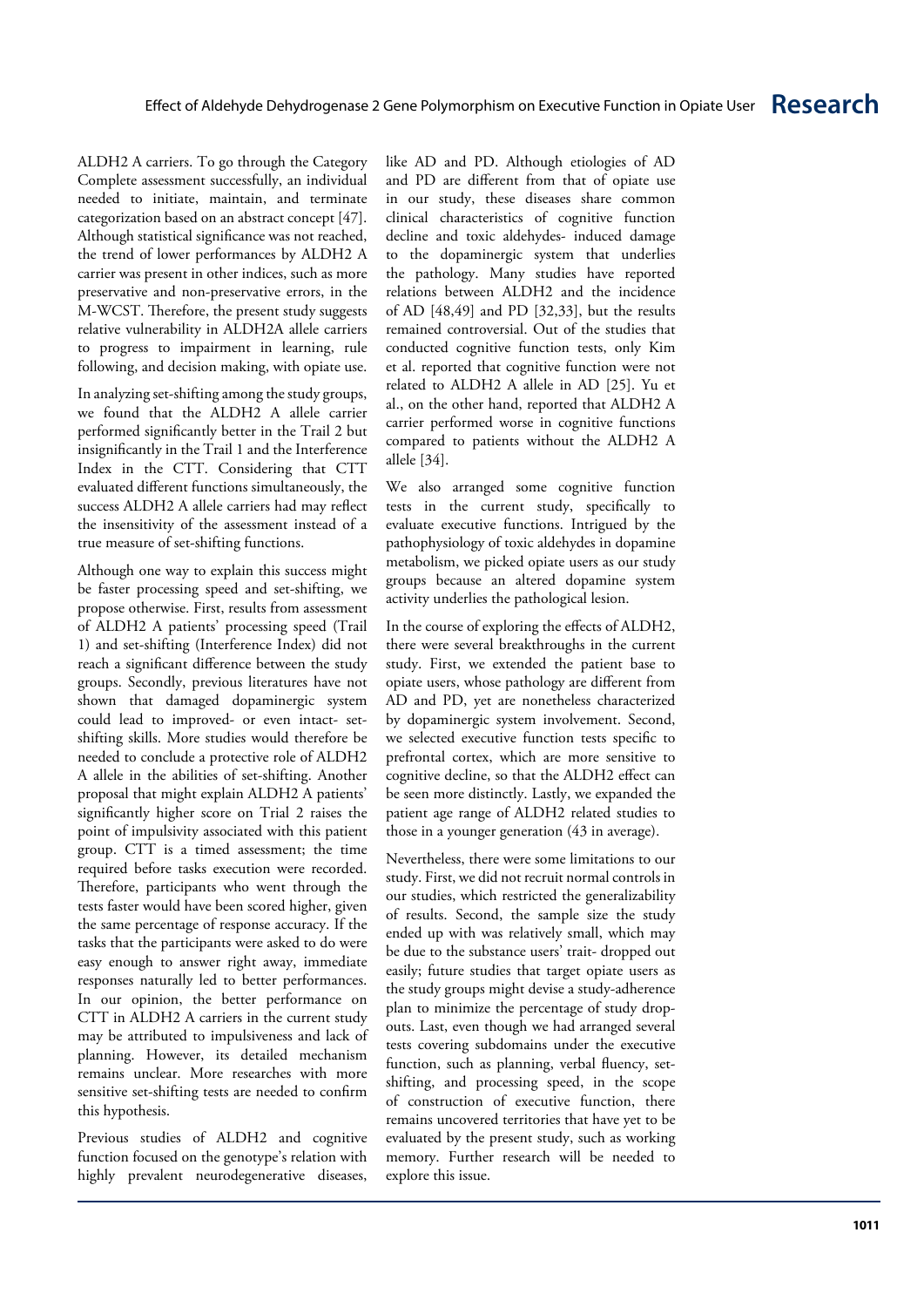ALDH2 A carriers. To go through the Category Complete assessment successfully, an individual needed to initiate, maintain, and terminate categorization based on an abstract concept [47]. Although statistical significance was not reached, the trend of lower performances by ALDH2 A carrier was present in other indices, such as more preservative and non-preservative errors, in the M-WCST. Therefore, the present study suggests relative vulnerability in ALDH2A allele carriers to progress to impairment in learning, rule following, and decision making, with opiate use.

In analyzing set-shifting among the study groups, we found that the ALDH2 A allele carrier performed significantly better in the Trail 2 but insignificantly in the Trail 1 and the Interference Index in the CTT. Considering that CTT evaluated different functions simultaneously, the success ALDH2 A allele carriers had may reflect the insensitivity of the assessment instead of a true measure of set-shifting functions.

Although one way to explain this success might be faster processing speed and set-shifting, we propose otherwise. First, results from assessment of ALDH2 A patients' processing speed (Trail 1) and set-shifting (Interference Index) did not reach a significant difference between the study groups. Secondly, previous literatures have not shown that damaged dopaminergic system could lead to improved- or even intact- setshifting skills. More studies would therefore be needed to conclude a protective role of ALDH2 A allele in the abilities of set-shifting. Another proposal that might explain ALDH2 A patients' significantly higher score on Trial 2 raises the point of impulsivity associated with this patient group. CTT is a timed assessment; the time required before tasks execution were recorded. Therefore, participants who went through the tests faster would have been scored higher, given the same percentage of response accuracy. If the tasks that the participants were asked to do were easy enough to answer right away, immediate responses naturally led to better performances. In our opinion, the better performance on CTT in ALDH2 A carriers in the current study may be attributed to impulsiveness and lack of planning. However, its detailed mechanism remains unclear. More researches with more sensitive set-shifting tests are needed to confirm this hypothesis.

Previous studies of ALDH2 and cognitive function focused on the genotype's relation with highly prevalent neurodegenerative diseases,

like AD and PD. Although etiologies of AD and PD are different from that of opiate use in our study, these diseases share common clinical characteristics of cognitive function decline and toxic aldehydes- induced damage to the dopaminergic system that underlies the pathology. Many studies have reported relations between ALDH2 and the incidence of AD [48,49] and PD [32,33], but the results remained controversial. Out of the studies that conducted cognitive function tests, only Kim et al. reported that cognitive function were not related to ALDH2 A allele in AD [25]. Yu et al., on the other hand, reported that ALDH2 A carrier performed worse in cognitive functions compared to patients without the ALDH2 A allele [34].

We also arranged some cognitive function tests in the current study, specifically to evaluate executive functions. Intrigued by the pathophysiology of toxic aldehydes in dopamine metabolism, we picked opiate users as our study groups because an altered dopamine system activity underlies the pathological lesion.

In the course of exploring the effects of ALDH2, there were several breakthroughs in the current study. First, we extended the patient base to opiate users, whose pathology are different from AD and PD, yet are nonetheless characterized by dopaminergic system involvement. Second, we selected executive function tests specific to prefrontal cortex, which are more sensitive to cognitive decline, so that the ALDH2 effect can be seen more distinctly. Lastly, we expanded the patient age range of ALDH2 related studies to those in a younger generation (43 in average).

Nevertheless, there were some limitations to our study. First, we did not recruit normal controls in our studies, which restricted the generalizability of results. Second, the sample size the study ended up with was relatively small, which may be due to the substance users' trait- dropped out easily; future studies that target opiate users as the study groups might devise a study-adherence plan to minimize the percentage of study dropouts. Last, even though we had arranged several tests covering subdomains under the executive function, such as planning, verbal fluency, setshifting, and processing speed, in the scope of construction of executive function, there remains uncovered territories that have yet to be evaluated by the present study, such as working memory. Further research will be needed to explore this issue.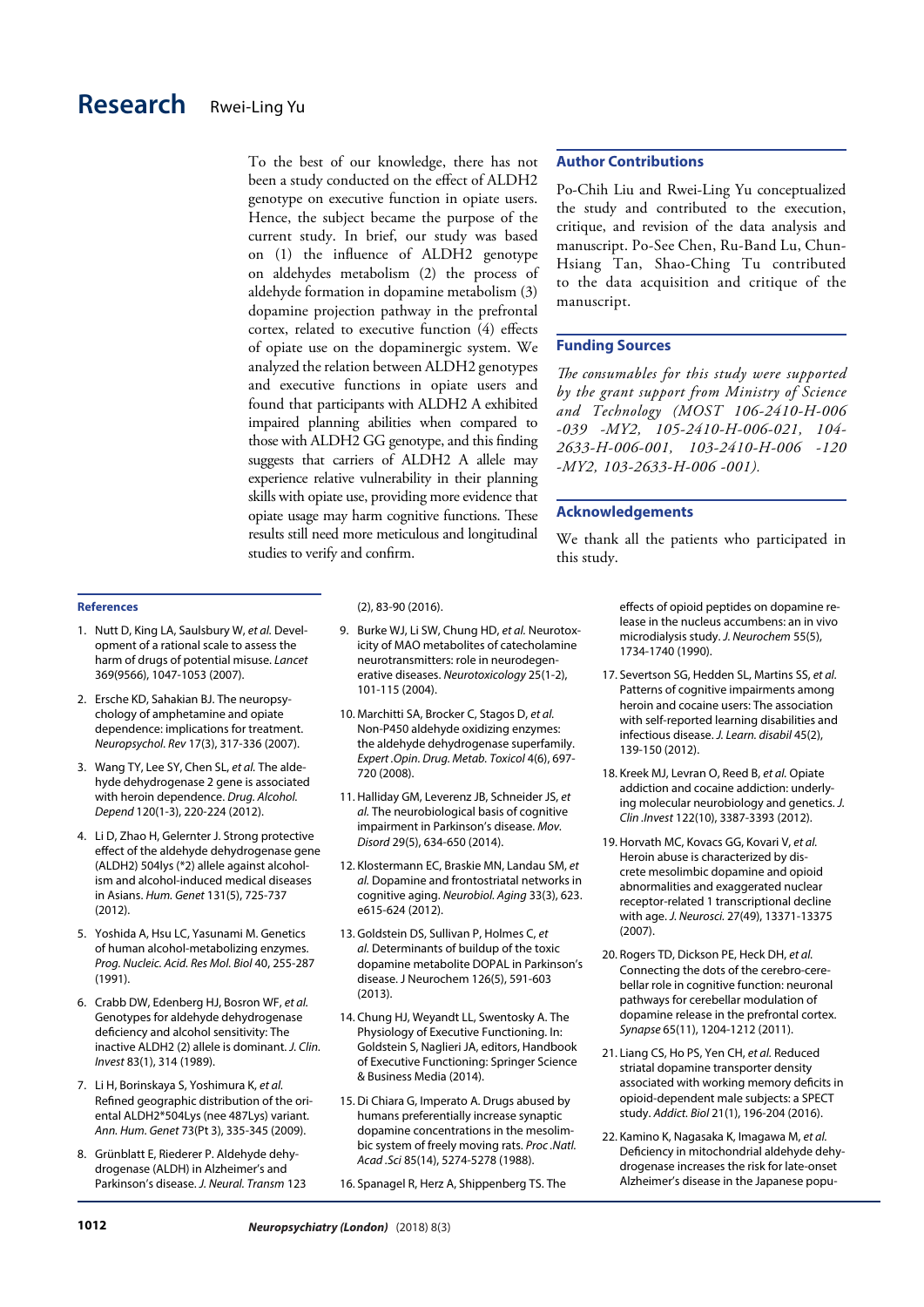# **Research** [Rwei-Ling Yu](c)

To the best of our knowledge, there has not been a study conducted on the effect of ALDH2 genotype on executive function in opiate users. Hence, the subject became the purpose of the current study. In brief, our study was based on (1) the influence of ALDH2 genotype on aldehydes metabolism (2) the process of aldehyde formation in dopamine metabolism (3) dopamine projection pathway in the prefrontal cortex, related to executive function (4) effects of opiate use on the dopaminergic system. We analyzed the relation between ALDH2 genotypes and executive functions in opiate users and found that participants with ALDH2 A exhibited impaired planning abilities when compared to those with ALDH2 GG genotype, and this finding suggests that carriers of ALDH2 A allele may experience relative vulnerability in their planning skills with opiate use, providing more evidence that opiate usage may harm cognitive functions. These results still need more meticulous and longitudinal studies to verify and confirm.

#### **Author Contributions**

Po-Chih Liu and Rwei-Ling Yu conceptualized the study and contributed to the execution, critique, and revision of the data analysis and manuscript. Po-See Chen, Ru-Band Lu, Chun-Hsiang Tan, Shao-Ching Tu contributed to the data acquisition and critique of the manuscript.

#### **Funding Sources**

*The consumables for this study were supported by the grant support from Ministry of Science and Technology (MOST 106-2410-H-006 -039 -MY2, 105-2410-H-006-021, 104- 2633-H-006-001, 103-2410-H-006 -120 -MY2, 103-2633-H-006 -001).*

#### **Acknowledgements**

We thank all the patients who participated in this study.

#### **References**

- 1. Nutt D, King LA, Saulsbury W, *et al.* Development of a rational scale to assess the harm of drugs of potential misuse. *Lancet* 369(9566), 1047-1053 (2007).
- 2. Ersche KD, Sahakian BJ. The neuropsychology of amphetamine and opiate dependence: implications for treatment. *Neuropsychol. Rev* 17(3), 317-336 (2007).
- 3. Wang TY, Lee SY, Chen SL, *et al.* The aldehyde dehydrogenase 2 gene is associated with heroin dependence. *Drug. Alcohol. Depend* 120(1-3), 220-224 (2012).
- 4. Li D, Zhao H, Gelernter J. Strong protective effect of the aldehyde dehydrogenase gene (ALDH2) 504lys (\*2) allele against alcoholism and alcohol-induced medical diseases in Asians. *Hum. Genet* 131(5), 725-737 (2012).
- 5. Yoshida A, Hsu LC, Yasunami M. Genetics of human alcohol-metabolizing enzymes. *Prog. Nucleic. Acid. Res Mol. Biol* 40, 255-287 (1991).
- 6. Crabb DW, Edenberg HJ, Bosron WF, *et al.* Genotypes for aldehyde dehydrogenase deficiency and alcohol sensitivity: The inactive ALDH2 (2) allele is dominant. *J. Clin. Invest* 83(1), 314 (1989).
- 7. Li H, Borinskaya S, Yoshimura K, *et al.* Refined geographic distribution of the oriental ALDH2\*504Lys (nee 487Lys) variant. *Ann. Hum. Genet* 73(Pt 3), 335-345 (2009).
- 8. Grünblatt E, Riederer P. Aldehyde dehydrogenase (ALDH) in Alzheimer's and Parkinson's disease. *J. Neural. Transm* 123

(2), 83-90 (2016).

- 9. Burke WJ, Li SW, Chung HD, *et al.* Neurotoxicity of MAO metabolites of catecholamine neurotransmitters: role in neurodegenerative diseases. *Neurotoxicology* 25(1-2), 101-115 (2004).
- 10. Marchitti SA, Brocker C, Stagos D, *et al.* Non-P450 aldehyde oxidizing enzymes: the aldehyde dehydrogenase superfamily. *Expert .Opin. Drug. Metab. Toxicol* 4(6), 697- 720 (2008).
- 11. Halliday GM, Leverenz JB, Schneider JS, *et al.* The neurobiological basis of cognitive impairment in Parkinson's disease. *Mov. Disord* 29(5), 634-650 (2014).
- 12. Klostermann EC, Braskie MN, Landau SM, *et al.* Dopamine and frontostriatal networks in cognitive aging. *Neurobiol. Aging* 33(3), 623. e615-624 (2012).
- 13. Goldstein DS, Sullivan P, Holmes C, *et al.* Determinants of buildup of the toxic dopamine metabolite DOPAL in Parkinson's disease. J Neurochem 126(5), 591-603 (2013).
- 14. Chung HJ, Weyandt LL, Swentosky A. The Physiology of Executive Functioning. In: Goldstein S, Naglieri JA, editors, Handbook of Executive Functioning: Springer Science & Business Media (2014).
- 15. Di Chiara G, Imperato A. Drugs abused by humans preferentially increase synaptic dopamine concentrations in the mesolimbic system of freely moving rats. *Proc .Natl. Acad .Sci* 85(14), 5274-5278 (1988).

16. Spanagel R, Herz A, Shippenberg TS. The

effects of opioid peptides on dopamine release in the nucleus accumbens: an in vivo microdialysis study. *J. Neurochem* 55(5), 1734-1740 (1990).

- 17. Severtson SG, Hedden SL, Martins SS, *et al.* Patterns of cognitive impairments among heroin and cocaine users: The association with self-reported learning disabilities and infectious disease. *J. Learn. disabil* 45(2), 139-150 (2012).
- 18. Kreek MJ, Levran O, Reed B, *et al.* Opiate addiction and cocaine addiction: underlying molecular neurobiology and genetics. *J. Clin .Invest* 122(10), 3387-3393 (2012).
- 19. Horvath MC, Kovacs GG, Kovari V, *et al.* Heroin abuse is characterized by discrete mesolimbic dopamine and opioid abnormalities and exaggerated nuclear receptor-related 1 transcriptional decline with age. *J. Neurosci.* 27(49), 13371-13375 (2007).
- 20. Rogers TD, Dickson PE, Heck DH, *et al.* Connecting the dots of the cerebro-cerebellar role in cognitive function: neuronal pathways for cerebellar modulation of dopamine release in the prefrontal cortex. *Synapse* 65(11), 1204-1212 (2011).
- 21. Liang CS, Ho PS, Yen CH, *et al.* Reduced striatal dopamine transporter density associated with working memory deficits in opioid-dependent male subjects: a SPECT study. *Addict. Biol* 21(1), 196-204 (2016).
- 22. Kamino K, Nagasaka K, Imagawa M, *et al.* Deficiency in mitochondrial aldehyde dehydrogenase increases the risk for late-onset Alzheimer's disease in the Japanese popu-